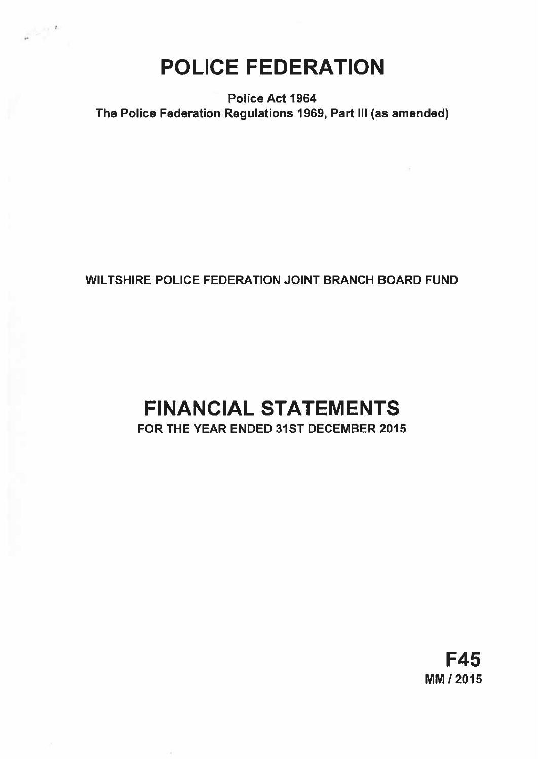# POLICE FEDERATION

 $\sim$  1  $^{\prime}$ 

Police Act 1964 The Police Federation Regulations 1969, Part III (as amended)

## WILTSHIRE POLICE FEDERATION JOINT BRANCH BOARD FUND

## FINANCIAL STATEMENTS FOR THE YEAR ENDED 31ST DECEMBER 2015

F45 MM 12015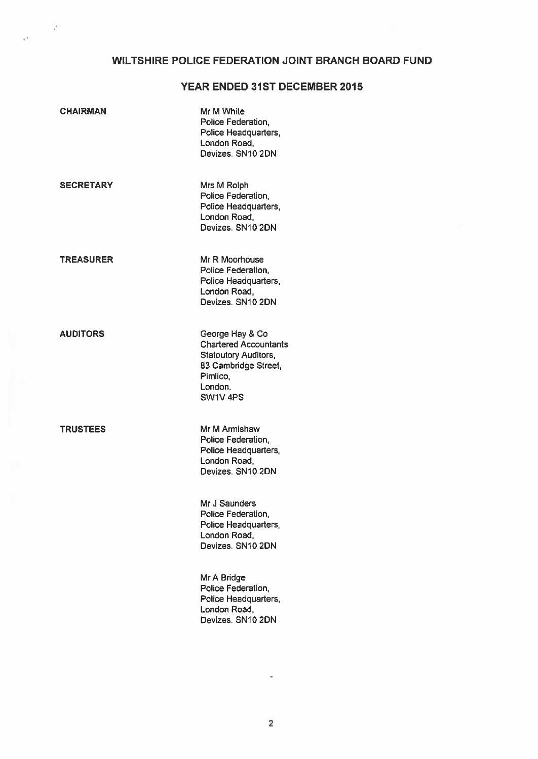## WILTSHIRE POLICE FEDERATION JOINT BRANCH BOARD FUND

## YEAR ENDED 31ST DECEMBER 2015

| <b>CHAIRMAN</b>  | Mr M White<br>Police Federation,<br>Police Headquarters,<br>London Road,<br>Devizes, SN10 2DN                                                        |
|------------------|------------------------------------------------------------------------------------------------------------------------------------------------------|
| <b>SECRETARY</b> | Mrs M Rolph<br>Police Federation,<br>Police Headquarters,<br>London Road,<br>Devizes, SN10 2DN                                                       |
| <b>TREASURER</b> | Mr R Moorhouse<br>Police Federation,<br>Police Headquarters,<br>London Road,<br>Devizes, SN10 2DN                                                    |
| <b>AUDITORS</b>  | George Hay & Co<br><b>Chartered Accountants</b><br><b>Statoutory Auditors,</b><br>83 Cambridge Street,<br>Pimlico,<br>London.<br>SW1V <sub>4PS</sub> |
| <b>TRUSTEES</b>  | Mr M Armishaw<br>Police Federation,<br>Police Headquarters,<br>London Road,<br>Devizes, SN10 2DN                                                     |
|                  | Mr J Saunders<br>Police Federation,<br>Police Headquarters,<br>London Road,<br>Devizes, SN10 2DN                                                     |
|                  | Mr A Bridge<br>Police Federation,<br>Police Headquarters,<br>London Road,<br>Devizes, SN10 2DN                                                       |

 $\sim$ 

s.

 $\sim$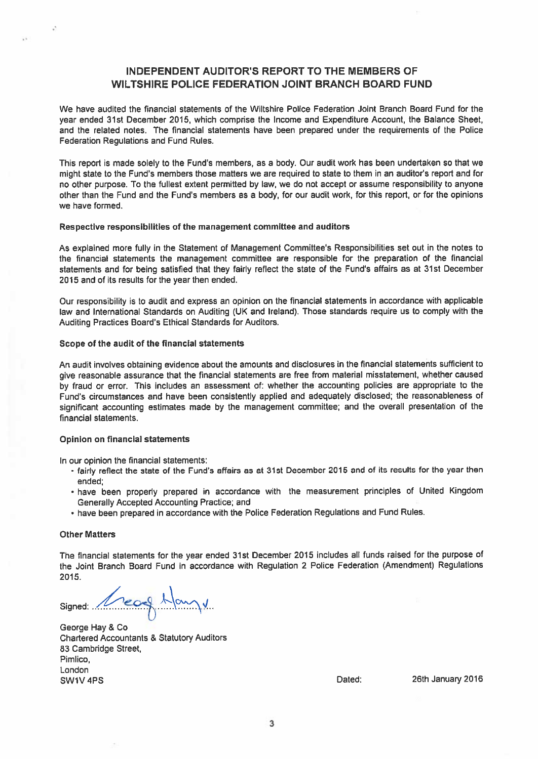## INDEPENDENT AUDITOR'S REPORT TO THE MEMBERS OF WILTSHIRE POLICE FEDERATION JOINT BRANCH BOARD FUND

We have audited the financial statements of the Wiltshire Police Federation Joint Branch Board Fund for the year ended 31st December 2015, which comprise the Income and Expenditure Account, the Balance Sheet, and the related notes. The financial statements have been prepared under the requirements of the Police Federation Regulations and Fund Rules.

This repor<sup>t</sup> is made solely to the Fund's members, as <sup>a</sup> body. Our audit work has been undertaken so that we might state to the Fund's members those matters we are required to state to them in an auditor's repor<sup>t</sup> and for no other purpose. To the fullest extent permitted by law, we do not accep<sup>t</sup> or assume responsibility to anyone other than the Fund and the Fund's members as <sup>a</sup> body, for our audit work, for this report, or for the opinions we have formed.

#### Respective responsibilities of the managemen<sup>t</sup> committee and auditors

As explained more fully in the Statement of Management Committee's Responsibilities set out in the notes to the financial statements the managemen<sup>t</sup> committee are responsible for the preparation of the financial statements and for being satisfied that they fairly reflect the state of the Fund's affairs as at 31st December 2015 and of its results for the year then ended.

Our responsibility is to audit and express an opinion on the financial statements in accordance with applicable law and International Standards on Auditing (UK and Ireland). Those standards require us to comply with the Auditing Practices Board's Ethical Standards for Auditors.

## Scope of the audit of the financial statements

An audit involves obtaining evidence about the amounts and disclosures in the financial statements sufficient to <sup>g</sup>ive reasonable assurance that the financial statements are free from material misstatement, whether caused by fraud or error. This includes an assessment of: whether the accounting policies are appropriate to the Fund's circumstances and have been consistently applied and adequately disclosed; the reasonableness of significant accounting estimates made by the managemen<sup>t</sup> committee; and the overall presentation of the financial statements.

## Opinion on financial statements

In our opinion the financial statements:

- fairly reflect the state of the Fund's affairs as at 31st December <sup>2015</sup> and of its results for the year then ended;
- have been properly prepare<sup>d</sup> in accordance with the measurement principles of United Kingdom Generally Accepted Accounting Practice; and
- have been prepare<sup>d</sup> in accordance with the Police Federation Regulations and Fund Rules.

## Other Matters

The financial statements for the year ended 31st December <sup>2015</sup> includes all funds raised for the purpose of the Joint Branch Board Fund in accordance with Regulation <sup>2</sup> Police Federation (Amendment) Regulations 2015.

signed: Cearge Hay

George Hay & Co Chartered Accountants & Statutory Auditors 83 Cambridge Street, Pimlico, London SW1V 4PS **Dated:** 26th January 2016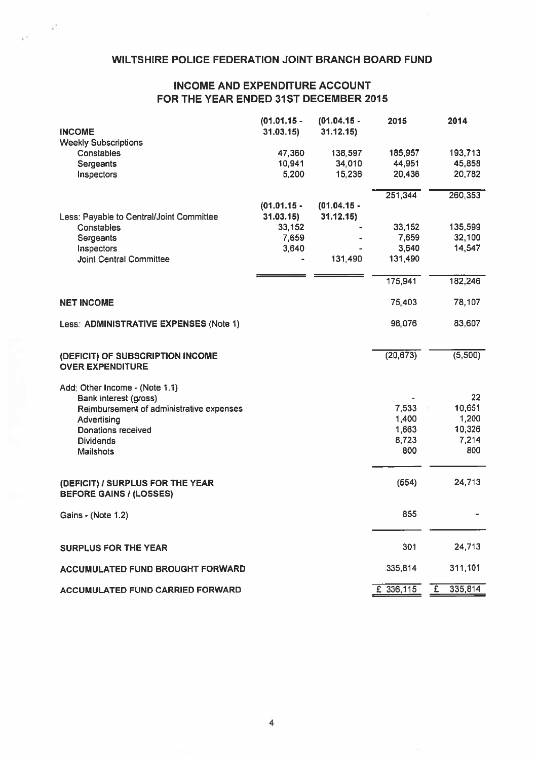## WILTSHIRE POLICE FEDERATION JOINT BRANCH BOARD FUND

 $\frac{1}{\epsilon}$ 

## INCOME AND EXPENDITURE ACCOUNT FOR THE YEAR ENDED 31ST DECEMBER 2015

| <b>INCOME</b>                                                      | $(01.01.15 -$<br>31.03.15) | $(01.04.15 -$<br>31.12.15 | 2015        | 2014                    |
|--------------------------------------------------------------------|----------------------------|---------------------------|-------------|-------------------------|
| <b>Weekly Subscriptions</b>                                        |                            |                           |             |                         |
| Constables                                                         | 47,360                     | 138,597                   | 185,957     | 193,713                 |
| Sergeants                                                          | 10,941                     | 34,010                    | 44,951      | 45,858                  |
| Inspectors                                                         | 5,200                      | 15,236                    | 20,436      | 20,782                  |
|                                                                    |                            |                           | 251,344     | 260,353                 |
|                                                                    | $(01.01.15 -$              | $(01.04.15 -$             |             |                         |
| Less: Payable to Central/Joint Committee                           | 31.03.15                   | 31.12.15)                 |             |                         |
| Constables                                                         | 33,152                     |                           | 33,152      | 135,599                 |
| Sergeants                                                          | 7,659                      |                           | 7,659       | 32,100                  |
| Inspectors                                                         | 3,640                      |                           | 3,640       | 14,547                  |
| <b>Joint Central Committee</b>                                     |                            | 131,490                   | 131,490     |                         |
|                                                                    |                            |                           | 175,941     | 182,246                 |
| <b>NET INCOME</b>                                                  |                            |                           | 75,403      | 78,107                  |
|                                                                    |                            |                           |             |                         |
| Less: ADMINISTRATIVE EXPENSES (Note 1)                             |                            |                           | 96,076      | 83,607                  |
| (DEFICIT) OF SUBSCRIPTION INCOME                                   |                            |                           | (20, 673)   | (5, 500)                |
| <b>OVER EXPENDITURE</b>                                            |                            |                           |             |                         |
| Add: Other Income - (Note 1.1)                                     |                            |                           |             |                         |
| Bank interest (gross)                                              |                            |                           |             | 22                      |
| Reimbursement of administrative expenses                           |                            |                           | 7,533       | 10,651                  |
| Advertising                                                        |                            |                           | 1,400       | 1,200                   |
| Donations received                                                 |                            |                           | 1,663       | 10,326                  |
| <b>Dividends</b>                                                   |                            |                           | 8,723       | 7,214                   |
| <b>Mailshots</b>                                                   |                            |                           | 800         | 800                     |
|                                                                    |                            |                           | (554)       | 24,713                  |
| (DEFICIT) / SURPLUS FOR THE YEAR<br><b>BEFORE GAINS / (LOSSES)</b> |                            |                           |             |                         |
| Gains - (Note 1.2)                                                 |                            |                           | 855         |                         |
|                                                                    |                            |                           |             |                         |
| <b>SURPLUS FOR THE YEAR</b>                                        |                            |                           | 301         | 24,713                  |
| ACCUMULATED FUND BROUGHT FORWARD                                   |                            |                           | 335,814     | 311,101                 |
| ACCUMULATED FUND CARRIED FORWARD                                   |                            |                           | $E$ 336,115 | 335,814<br>$\mathbf{E}$ |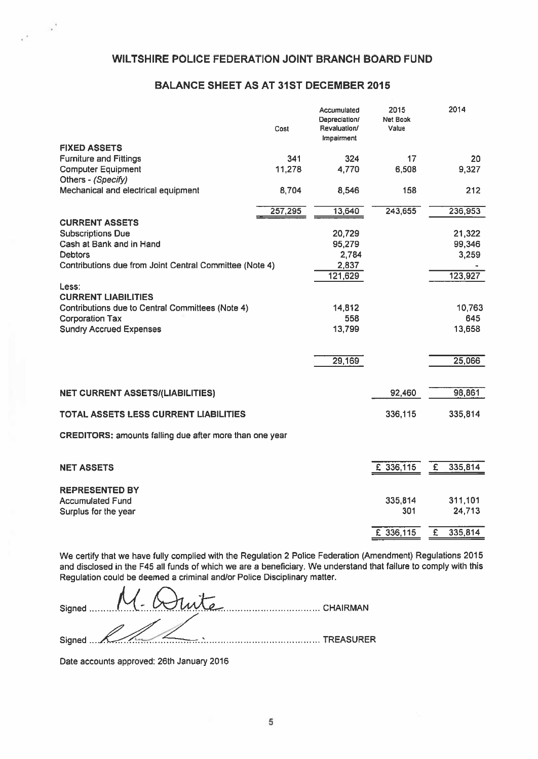## BALANCE SHEET AS AT 31ST DECEMBER 2015

|                                                         | Cost    | Accumulated<br>Depreciation/<br>Revaluation/<br>Impairment | 2015<br><b>Net Book</b><br>Value |   | 2014    |
|---------------------------------------------------------|---------|------------------------------------------------------------|----------------------------------|---|---------|
| <b>FIXED ASSETS</b>                                     |         |                                                            |                                  |   |         |
| <b>Furniture and Fittings</b>                           | 341     | 324                                                        | 17                               |   | 20      |
| <b>Computer Equipment</b>                               | 11,278  | 4,770                                                      | 6,508                            |   | 9,327   |
| Others - (Specify)                                      |         |                                                            |                                  |   |         |
| Mechanical and electrical equipment                     | 8,704   | 8,546                                                      | 158                              |   | 212     |
|                                                         | 257,295 | 13,640                                                     | 243,655                          |   | 236,953 |
| <b>CURRENT ASSETS</b>                                   |         |                                                            |                                  |   |         |
| <b>Subscriptions Due</b>                                |         | 20,729                                                     |                                  |   | 21,322  |
| Cash at Bank and in Hand                                |         | 95,279                                                     |                                  |   | 99,346  |
| <b>Debtors</b>                                          |         | 2,784                                                      |                                  |   | 3,259   |
| Contributions due from Joint Central Committee (Note 4) |         | 2,837                                                      |                                  |   |         |
| Less:                                                   |         | 121,629                                                    |                                  |   | 123,927 |
| <b>CURRENT LIABILITIES</b>                              |         |                                                            |                                  |   |         |
| Contributions due to Central Committees (Note 4)        |         | 14,812                                                     |                                  |   | 10,763  |
| <b>Corporation Tax</b>                                  |         | 558                                                        |                                  |   | 645     |
| <b>Sundry Accrued Expenses</b>                          |         | 13,799                                                     |                                  |   | 13,658  |
|                                                         |         |                                                            |                                  |   |         |
|                                                         |         | 29,169                                                     |                                  |   | 25,066  |
|                                                         |         |                                                            |                                  |   |         |
| <b>NET CURRENT ASSETS/(LIABILITIES)</b>                 |         |                                                            | 92,460                           |   | 98,861  |
|                                                         |         |                                                            |                                  |   |         |
| TOTAL ASSETS LESS CURRENT LIABILITIES                   |         |                                                            | 336,115                          |   | 335,814 |
| CREDITORS: amounts falling due after more than one year |         |                                                            |                                  |   |         |
| <b>NET ASSETS</b>                                       |         |                                                            | £ 336,115                        | £ | 335,814 |
|                                                         |         |                                                            |                                  |   |         |
| <b>REPRESENTED BY</b>                                   |         |                                                            |                                  |   |         |
| <b>Accumulated Fund</b>                                 |         |                                                            | 335,814                          |   | 311,101 |
| Surplus for the year                                    |         |                                                            | 301                              |   | 24,713  |
|                                                         |         |                                                            |                                  |   |         |
|                                                         |         |                                                            | £ 336,115                        | £ | 335,814 |

We certify that we have fully complied with the Regulation 2 Police Federation (Amendment) Regulations 2015 and disclosed in the F45 all funds of which we are <sup>a</sup> beneficiary. We understand that failure to comply with this Regulation could be deemed <sup>a</sup> criminal and/or Police Disciplinary matter.

| Signed $\begin{bmatrix} 1 & 1 \\ 1 & 1 \end{bmatrix}$ $\begin{bmatrix} 1 & 1 \\ 1 & 1 \end{bmatrix}$ $\begin{bmatrix} 1 & 1 \\ 1 & 1 \end{bmatrix}$ $\begin{bmatrix} 1 & 1 \\ 1 & 1 \end{bmatrix}$ $\begin{bmatrix} 1 & 1 \\ 1 & 1 \end{bmatrix}$ $\begin{bmatrix} 1 & 1 \\ 1 & 1 \end{bmatrix}$ $\begin{bmatrix} 1 & 1 \\ 1 & 1 \end{bmatrix}$ $\begin{bmatrix} 1 & 1 \\ 1 & 1 \end{bmatrix}$ $\begin{bmatrix$ |           |
|-----------------------------------------------------------------------------------------------------------------------------------------------------------------------------------------------------------------------------------------------------------------------------------------------------------------------------------------------------------------------------------------------------------------|-----------|
|                                                                                                                                                                                                                                                                                                                                                                                                                 |           |
| Signed<br><u> 1919 - Paul Barbara, manala</u>                                                                                                                                                                                                                                                                                                                                                                   | TREASURER |

Date accounts approved: 26th January 2016

 $\chi^2$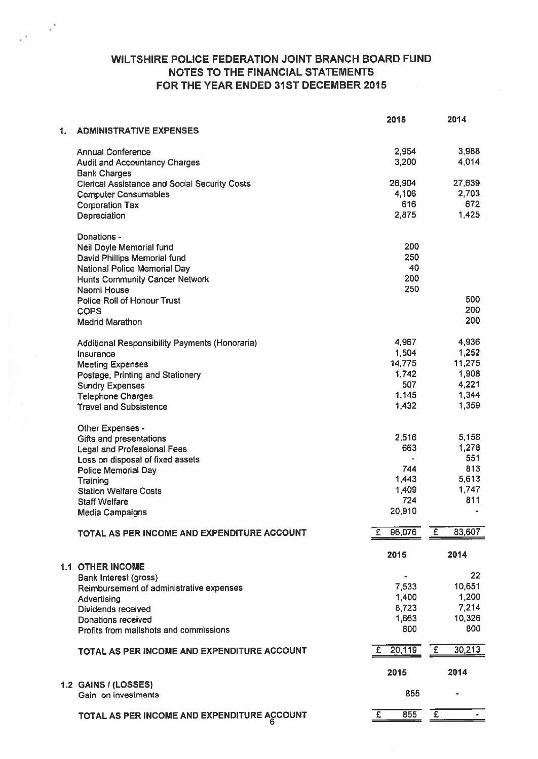## WILTSHIRE POLICE FEDERATION JOINT BRANCH BOARD FUND NOTES TO THE FINANCIAL STATEMENTS FOR THE YEAR ENDED 31ST DECEMBER 2015

 $\mathbf{v}^*$ 

|    |                                                                  | 2015           |                | 2014           |
|----|------------------------------------------------------------------|----------------|----------------|----------------|
| 1. | <b>ADMINISTRATIVE EXPENSES</b>                                   |                |                |                |
|    |                                                                  |                |                |                |
|    | <b>Annual Conference</b><br><b>Audit and Accountancy Charges</b> | 2,954<br>3,200 |                | 3,988<br>4,014 |
|    | <b>Bank Charges</b>                                              |                |                |                |
|    | <b>Clerical Assistance and Social Security Costs</b>             | 26,904         |                | 27,639         |
|    | <b>Computer Consumables</b>                                      | 4,106          |                | 2,703          |
|    | <b>Corporation Tax</b>                                           | 616            |                | 672            |
|    | Depreciation                                                     | 2,875          |                | 1,425          |
|    |                                                                  |                |                |                |
|    | Donations -                                                      |                |                |                |
|    | Neil Doyle Memorial fund                                         | 200            |                |                |
|    | David Phillips Memorial fund                                     | 250            |                |                |
|    | National Police Memorial Day                                     | 40<br>200      |                |                |
|    | <b>Hunts Community Cancer Network</b><br>Naomi House             | 250            |                |                |
|    | Police Roll of Honour Trust                                      |                |                | 500            |
|    | <b>COPS</b>                                                      |                |                | 200            |
|    | <b>Madrid Marathon</b>                                           |                |                | 200            |
|    |                                                                  |                |                |                |
|    | Additional Responsibility Payments (Honoraria)                   | 4,967          |                | 4,936          |
|    | Insurance                                                        | 1,504          |                | 1,252          |
|    | <b>Meeting Expenses</b>                                          | 14,775         |                | 11,275         |
|    | Postage, Printing and Stationery                                 | 1,742          |                | 1,908          |
|    | <b>Sundry Expenses</b>                                           | 507            |                | 4,221<br>1,344 |
|    | <b>Telephone Charges</b><br><b>Travel and Subsistence</b>        | 1,145<br>1,432 |                | 1,359          |
|    |                                                                  |                |                |                |
|    | Other Expenses -                                                 |                |                |                |
|    | Gifts and presentations                                          | 2,516          |                | 5,158          |
|    | Legal and Professional Fees                                      | 663            |                | 1,278          |
|    | Loss on disposal of fixed assets                                 |                |                | 551            |
|    | <b>Police Memorial Day</b>                                       | 744            |                | 813            |
|    | Training                                                         | 1,443          |                | 5,613          |
|    | <b>Station Welfare Costs</b>                                     | 1,409          |                | 1,747<br>811   |
|    | <b>Staff Welfare</b>                                             | 724<br>20,910  |                | $\blacksquare$ |
|    | <b>Media Campaigns</b>                                           |                |                |                |
|    | TOTAL AS PER INCOME AND EXPENDITURE ACCOUNT                      | 96,076<br>£.   | $\overline{f}$ | 83,607         |
|    |                                                                  |                |                |                |
|    |                                                                  | 2015           |                | 2014           |
|    | <b>1.1 OTHER INCOME</b>                                          |                |                |                |
|    | Bank Interest (gross)                                            | $\bullet$      |                | 22             |
|    | Reimbursement of administrative expenses                         | 7,533          |                | 10,651         |
|    | Advertising                                                      | 1,400<br>8,723 |                | 1,200<br>7,214 |
|    | <b>Dividends received</b><br>Donations received                  | 1,663          |                | 10,326         |
|    | Profits from mailshots and commissions                           | 800            |                | 800            |
|    |                                                                  |                |                |                |
|    | TOTAL AS PER INCOME AND EXPENDITURE ACCOUNT                      | 20,119<br>£.   | £              | 30,213         |
|    |                                                                  | 2015           |                | 2014           |
|    | 1.2 GAINS / (LOSSES)<br>Gain on investments                      | 855            |                |                |
|    | TOTAL AS PER INCOME AND EXPENDITURE ACCOUNT                      | 855<br>£       | E              |                |
|    |                                                                  |                |                |                |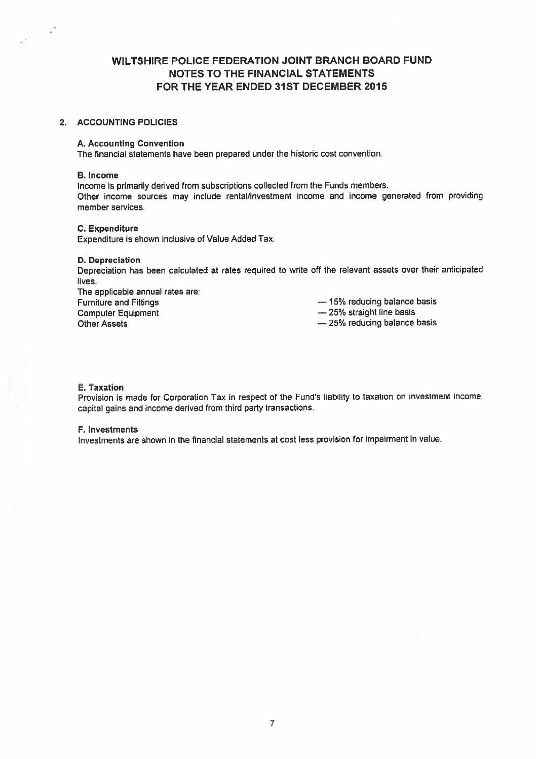## WILTSHIRE POLICE FEDERATION JOINT BRANCH BOARD FUND NOTES TO THE FINANCIAL STATEMENTS FOR THE YEAR ENDED 31ST DECEMBER 2015

## 2. ACCOUNTING POLICIES

## A. Accounting Convention

The financial statements have been prepared under the historic cost convention.

#### B. Income

 $\mathcal{L}^{\mathcal{L}}$ 

Income is primarily derived from subscriptions collected from the Funds members. Other income sources may include rental/investment income and income generated from providing member services.

## C. Expenditure

Expenditure is shown inclusive of Value Added Tax.

#### D. Depreciation

Depreciation has been calculated at rates required to write off the relevant assets over their anticipated lives.

The applicable annual rates are: Furniture and Fittings **Exercise 2018** — 15% reducing balance basis Computer Equipment **Example 25%** straight line basis Other Assets **25% reducing balance basis** 25% reducing balance basis

#### E. Taxation

Provision is made for Corporation Tax in respec<sup>t</sup> of the Fund's liability to taxation on investment income, capital gains and income derived from third party transactions.

## F. Investments

Investments are shown in the financial statements at cost less provision for impairment in value.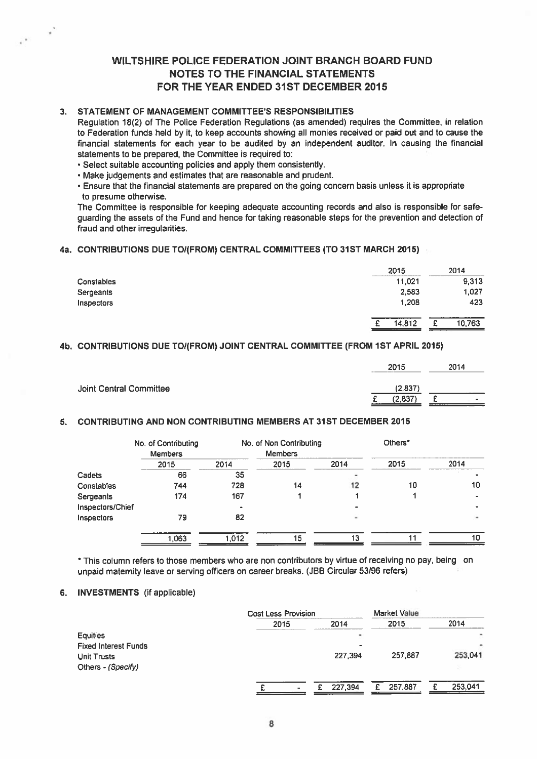## WILTSHIRE POLICE FEDERATION JOINT BRANCH BOARD FUND NOTES TO THE FINANCIAL STATEMENTS FOR THE YEAR ENDED 31ST DECEMBER 2015

## 3. STATEMENT OF MANAGEMENT COMMITTEE'S RESPONSIBILITIES

 $\epsilon$ 

## 4a. CONTRIBUTIONS DUE TO1(FROM) CENTRAL COMMITTEES (TO 31ST MARCH 2015)

| <b>WILTSHIRE POLICE FEDERATION JOINT BRANCH BOARD FUND</b><br><b>NOTES TO THE FINANCIAL STATEMENTS</b><br>FOR THE YEAR ENDED 31ST DECEMBER 2015                                                                                                                                                                                                                                                                                                                                                                                                                                                                                                                                                                                                                                                                                                                                                                                                                                         |             |    |        |
|-----------------------------------------------------------------------------------------------------------------------------------------------------------------------------------------------------------------------------------------------------------------------------------------------------------------------------------------------------------------------------------------------------------------------------------------------------------------------------------------------------------------------------------------------------------------------------------------------------------------------------------------------------------------------------------------------------------------------------------------------------------------------------------------------------------------------------------------------------------------------------------------------------------------------------------------------------------------------------------------|-------------|----|--------|
| STATEMENT OF MANAGEMENT COMMITTEE'S RESPONSIBILITIES<br>Regulation 18(2) of The Police Federation Regulations (as amended) requires the Committee, in relation<br>to Federation funds held by it, to keep accounts showing all monies received or paid out and to cause the<br>financial statements for each year to be audited by an independent auditor. In causing the financial<br>statements to be prepared, the Committee is required to:<br>· Select suitable accounting policies and apply them consistently.<br>· Make judgements and estimates that are reasonable and prudent.<br>. Ensure that the financial statements are prepared on the going concern basis unless it is appropriate<br>to presume otherwise.<br>The Committee is responsible for keeping adequate accounting records and also is responsible for safe-<br>guarding the assets of the Fund and hence for taking reasonable steps for the prevention and detection of<br>fraud and other irregularities. |             |    |        |
| <b>CONTRIBUTIONS DUE TO/(FROM) CENTRAL COMMITTEES (TO 31ST MARCH 2015)</b>                                                                                                                                                                                                                                                                                                                                                                                                                                                                                                                                                                                                                                                                                                                                                                                                                                                                                                              |             |    |        |
|                                                                                                                                                                                                                                                                                                                                                                                                                                                                                                                                                                                                                                                                                                                                                                                                                                                                                                                                                                                         | 2015        |    | 2014   |
| Constables                                                                                                                                                                                                                                                                                                                                                                                                                                                                                                                                                                                                                                                                                                                                                                                                                                                                                                                                                                              | 11,021      |    | 9,313  |
| Sergeants                                                                                                                                                                                                                                                                                                                                                                                                                                                                                                                                                                                                                                                                                                                                                                                                                                                                                                                                                                               | 2,583       |    | 1,027  |
| Inspectors                                                                                                                                                                                                                                                                                                                                                                                                                                                                                                                                                                                                                                                                                                                                                                                                                                                                                                                                                                              | 1,208       |    | 423    |
|                                                                                                                                                                                                                                                                                                                                                                                                                                                                                                                                                                                                                                                                                                                                                                                                                                                                                                                                                                                         | 14,812<br>£ | -£ | 10,763 |
| <b>CONTRIBUTIONS DUE TO/(FROM) JOINT CENTRAL COMMITTEE (FROM 1ST APRIL 2015)</b>                                                                                                                                                                                                                                                                                                                                                                                                                                                                                                                                                                                                                                                                                                                                                                                                                                                                                                        |             |    |        |
|                                                                                                                                                                                                                                                                                                                                                                                                                                                                                                                                                                                                                                                                                                                                                                                                                                                                                                                                                                                         | 2015        |    | 2014   |
| <b>Joint Central Committee</b>                                                                                                                                                                                                                                                                                                                                                                                                                                                                                                                                                                                                                                                                                                                                                                                                                                                                                                                                                          | (2,837)     |    |        |

## 4b. CONTRIBUTIONS DUE TO/(FROM) JOINT CENTRAL COMMITTEE (FROM 1ST APRIL 2015)

|                         | 2015               | 2014           |
|-------------------------|--------------------|----------------|
| Joint Central Committee | (2,837)<br>(2,837) | $\blacksquare$ |

## 5. CONTRIBUTING AND NON CONTRIBUTING MEMBERS AT 31ST DECEMBER 2015

|                   | No. of Contributing<br><b>Members</b> |       | No. of Non Contributing<br><b>Members</b> |      | Others* |                |  |
|-------------------|---------------------------------------|-------|-------------------------------------------|------|---------|----------------|--|
|                   | 2015                                  | 2014  | 2015                                      | 2014 | 2015    | 2014           |  |
| Cadets            | 66                                    | 35    |                                           |      |         |                |  |
| Constables        | 744                                   | 728   | 14                                        | 12   | 10      | 10             |  |
| Sergeants         | 174                                   | 167   |                                           |      |         |                |  |
| Inspectors/Chief  |                                       |       |                                           |      |         | $\blacksquare$ |  |
| <b>Inspectors</b> | 79                                    | 82    |                                           |      |         | ۰              |  |
|                   | 1.063                                 | 1.012 | 15                                        | 13   | 11      | 10             |  |
|                   |                                       |       |                                           |      |         |                |  |

\* This column refers to those members who are non contributors by virtue of receiving no pay, being on unpaid maternity leave or serving officers on career breaks. (JBB Circular 53/96 refers)

## 6. INVESTMENTS (if applicable)

|                             |      | <b>Cost Less Provision</b> |               |         |  |
|-----------------------------|------|----------------------------|---------------|---------|--|
|                             | 2015 | 2014                       | 2015          | 2014    |  |
| <b>Equities</b>             |      | ٠                          |               |         |  |
| <b>Fixed Interest Funds</b> |      | -                          |               |         |  |
| <b>Unit Trusts</b>          |      | 227,394                    | 257,887       | 253,041 |  |
| Others - (Specify)          |      |                            |               |         |  |
|                             |      | 227.394                    | 257,887<br>£. | 253,041 |  |